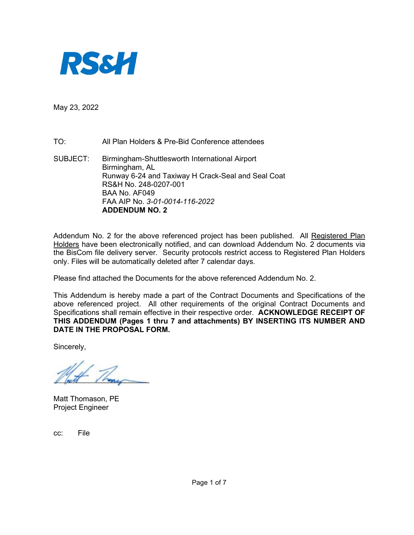

May 23, 2022

TO: All Plan Holders & Pre-Bid Conference attendees

SUBJECT: Birmingham-Shuttlesworth International Airport Birmingham, AL Runway 6-24 and Taxiway H Crack-Seal and Seal Coat RS&H No. 248-0207-001 BAA No. AF049 FAA AIP No. *3-01-0014-116-2022* **ADDENDUM NO. 2** 

Addendum No. 2 for the above referenced project has been published. All Registered Plan Holders have been electronically notified, and can download Addendum No. 2 documents via the BisCom file delivery server. Security protocols restrict access to Registered Plan Holders only. Files will be automatically deleted after 7 calendar days.

Please find attached the Documents for the above referenced Addendum No. 2.

This Addendum is hereby made a part of the Contract Documents and Specifications of the above referenced project. All other requirements of the original Contract Documents and Specifications shall remain effective in their respective order. **ACKNOWLEDGE RECEIPT OF THIS ADDENDUM (Pages 1 thru 7 and attachments) BY INSERTING ITS NUMBER AND DATE IN THE PROPOSAL FORM.** 

Sincerely,

Matt Thomason, PE Project Engineer

cc: File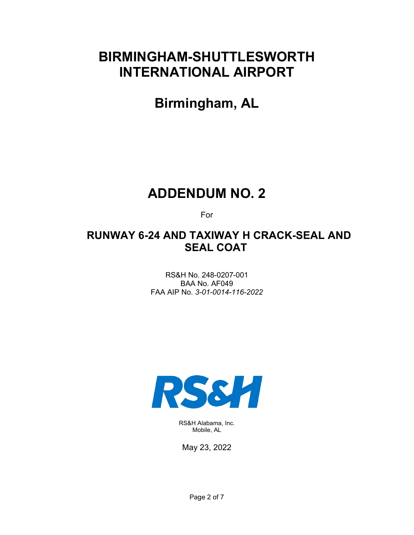# **BIRMINGHAM-SHUTTLESWORTH INTERNATIONAL AIRPORT**

**Birmingham, AL** 

## **ADDENDUM NO. 2**

For

### **RUNWAY 6-24 AND TAXIWAY H CRACK-SEAL AND SEAL COAT**

RS&H No. 248-0207-001 BAA No. AF049 FAA AIP No. *3-01-0014-116-2022*



RS&H Alabama, Inc. Mobile, AL

May 23, 2022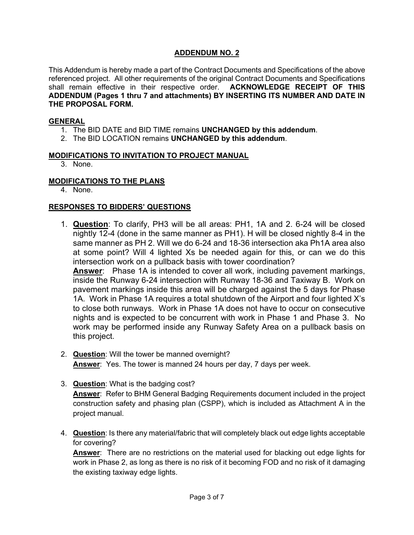#### **ADDENDUM NO. 2**

This Addendum is hereby made a part of the Contract Documents and Specifications of the above referenced project. All other requirements of the original Contract Documents and Specifications shall remain effective in their respective order. **ACKNOWLEDGE RECEIPT OF THIS ADDENDUM (Pages 1 thru 7 and attachments) BY INSERTING ITS NUMBER AND DATE IN THE PROPOSAL FORM.**

#### **GENERAL**

- 1. The BID DATE and BID TIME remains **UNCHANGED by this addendum**.
- 2. The BID LOCATION remains **UNCHANGED by this addendum**.

#### **MODIFICATIONS TO INVITATION TO PROJECT MANUAL**

3. None.

#### **MODIFICATIONS TO THE PLANS**

4. None.

#### **RESPONSES TO BIDDERS' QUESTIONS**

1. **Question**: To clarify, PH3 will be all areas: PH1, 1A and 2. 6-24 will be closed nightly 12-4 (done in the same manner as PH1). H will be closed nightly 8-4 in the same manner as PH 2. Will we do 6-24 and 18-36 intersection aka Ph1A area also at some point? Will 4 lighted Xs be needed again for this, or can we do this intersection work on a pullback basis with tower coordination?

**Answer**: Phase 1A is intended to cover all work, including pavement markings, inside the Runway 6-24 intersection with Runway 18-36 and Taxiway B. Work on pavement markings inside this area will be charged against the 5 days for Phase 1A. Work in Phase 1A requires a total shutdown of the Airport and four lighted X's to close both runways. Work in Phase 1A does not have to occur on consecutive nights and is expected to be concurrent with work in Phase 1 and Phase 3. No work may be performed inside any Runway Safety Area on a pullback basis on this project.

- 2. **Question**: Will the tower be manned overnight? **Answer**: Yes. The tower is manned 24 hours per day, 7 days per week.
- 3. **Question**: What is the badging cost? **Answer**: Refer to BHM General Badging Requirements document included in the project construction safety and phasing plan (CSPP), which is included as Attachment A in the project manual.
- 4. **Question**: Is there any material/fabric that will completely black out edge lights acceptable for covering?

**Answer**: There are no restrictions on the material used for blacking out edge lights for work in Phase 2, as long as there is no risk of it becoming FOD and no risk of it damaging the existing taxiway edge lights.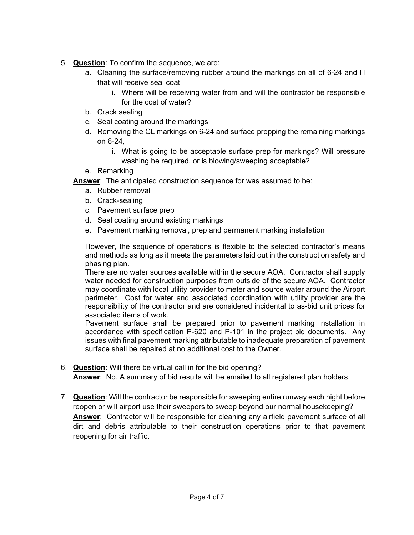- 5. **Question**: To confirm the sequence, we are:
	- a. Cleaning the surface/removing rubber around the markings on all of 6-24 and H that will receive seal coat
		- i. Where will be receiving water from and will the contractor be responsible for the cost of water?
	- b. Crack sealing
	- c. Seal coating around the markings
	- d. Removing the CL markings on 6-24 and surface prepping the remaining markings on 6-24,
		- i. What is going to be acceptable surface prep for markings? Will pressure washing be required, or is blowing/sweeping acceptable?
	- e. Remarking

**Answer**: The anticipated construction sequence for was assumed to be:

- a. Rubber removal
- b. Crack-sealing
- c. Pavement surface prep
- d. Seal coating around existing markings
- e. Pavement marking removal, prep and permanent marking installation

However, the sequence of operations is flexible to the selected contractor's means and methods as long as it meets the parameters laid out in the construction safety and phasing plan.

There are no water sources available within the secure AOA. Contractor shall supply water needed for construction purposes from outside of the secure AOA. Contractor may coordinate with local utility provider to meter and source water around the Airport perimeter. Cost for water and associated coordination with utility provider are the responsibility of the contractor and are considered incidental to as-bid unit prices for associated items of work.

Pavement surface shall be prepared prior to pavement marking installation in accordance with specification P-620 and P-101 in the project bid documents. Any issues with final pavement marking attributable to inadequate preparation of pavement surface shall be repaired at no additional cost to the Owner.

6. **Question**: Will there be virtual call in for the bid opening?

**Answer**: No. A summary of bid results will be emailed to all registered plan holders.

7. **Question**: Will the contractor be responsible for sweeping entire runway each night before reopen or will airport use their sweepers to sweep beyond our normal housekeeping? **Answer**: Contractor will be responsible for cleaning any airfield pavement surface of all dirt and debris attributable to their construction operations prior to that pavement reopening for air traffic.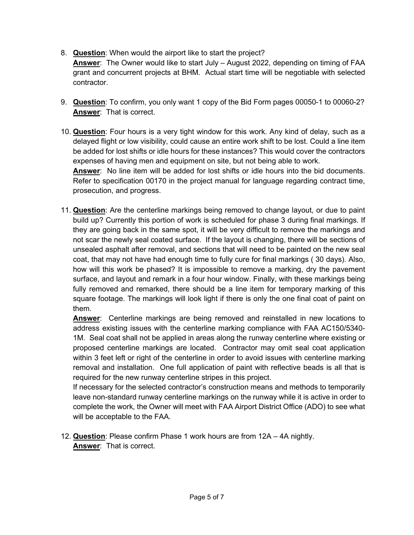8. **Question**: When would the airport like to start the project?

**Answer**: The Owner would like to start July – August 2022, depending on timing of FAA grant and concurrent projects at BHM. Actual start time will be negotiable with selected contractor.

- 9. **Question**: To confirm, you only want 1 copy of the Bid Form pages 00050-1 to 00060-2? **Answer**: That is correct.
- 10. **Question**: Four hours is a very tight window for this work. Any kind of delay, such as a delayed flight or low visibility, could cause an entire work shift to be lost. Could a line item be added for lost shifts or idle hours for these instances? This would cover the contractors expenses of having men and equipment on site, but not being able to work.

**Answer**: No line item will be added for lost shifts or idle hours into the bid documents. Refer to specification 00170 in the project manual for language regarding contract time, prosecution, and progress.

11. **Question**: Are the centerline markings being removed to change layout, or due to paint build up? Currently this portion of work is scheduled for phase 3 during final markings. If they are going back in the same spot, it will be very difficult to remove the markings and not scar the newly seal coated surface. If the layout is changing, there will be sections of unsealed asphalt after removal, and sections that will need to be painted on the new seal coat, that may not have had enough time to fully cure for final markings ( 30 days). Also, how will this work be phased? It is impossible to remove a marking, dry the pavement surface, and layout and remark in a four hour window. Finally, with these markings being fully removed and remarked, there should be a line item for temporary marking of this square footage. The markings will look light if there is only the one final coat of paint on them.

**Answer**: Centerline markings are being removed and reinstalled in new locations to address existing issues with the centerline marking compliance with FAA AC150/5340- 1M. Seal coat shall not be applied in areas along the runway centerline where existing or proposed centerline markings are located. Contractor may omit seal coat application within 3 feet left or right of the centerline in order to avoid issues with centerline marking removal and installation. One full application of paint with reflective beads is all that is required for the new runway centerline stripes in this project.

If necessary for the selected contractor's construction means and methods to temporarily leave non-standard runway centerline markings on the runway while it is active in order to complete the work, the Owner will meet with FAA Airport District Office (ADO) to see what will be acceptable to the FAA.

12. **Question**: Please confirm Phase 1 work hours are from 12A – 4A nightly. **Answer**: That is correct.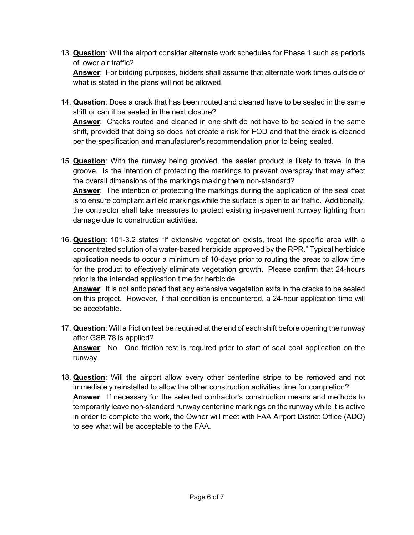13. **Question**: Will the airport consider alternate work schedules for Phase 1 such as periods of lower air traffic?

**Answer**: For bidding purposes, bidders shall assume that alternate work times outside of what is stated in the plans will not be allowed.

14. **Question**: Does a crack that has been routed and cleaned have to be sealed in the same shift or can it be sealed in the next closure?

**Answer**: Cracks routed and cleaned in one shift do not have to be sealed in the same shift, provided that doing so does not create a risk for FOD and that the crack is cleaned per the specification and manufacturer's recommendation prior to being sealed.

15. **Question**: With the runway being grooved, the sealer product is likely to travel in the groove. Is the intention of protecting the markings to prevent overspray that may affect the overall dimensions of the markings making them non-standard? **Answer**: The intention of protecting the markings during the application of the seal coat is to ensure compliant airfield markings while the surface is open to air traffic. Additionally, the contractor shall take measures to protect existing in-pavement runway lighting from

damage due to construction activities.

16. **Question**: 101-3.2 states "If extensive vegetation exists, treat the specific area with a concentrated solution of a water-based herbicide approved by the RPR." Typical herbicide application needs to occur a minimum of 10-days prior to routing the areas to allow time for the product to effectively eliminate vegetation growth. Please confirm that 24-hours prior is the intended application time for herbicide.

**Answer**: It is not anticipated that any extensive vegetation exits in the cracks to be sealed on this project. However, if that condition is encountered, a 24-hour application time will be acceptable.

17. **Question**: Will a friction test be required at the end of each shift before opening the runway after GSB 78 is applied?

**Answer**: No. One friction test is required prior to start of seal coat application on the runway.

18. **Question**: Will the airport allow every other centerline stripe to be removed and not immediately reinstalled to allow the other construction activities time for completion? **Answer**: If necessary for the selected contractor's construction means and methods to temporarily leave non-standard runway centerline markings on the runway while it is active in order to complete the work, the Owner will meet with FAA Airport District Office (ADO) to see what will be acceptable to the FAA.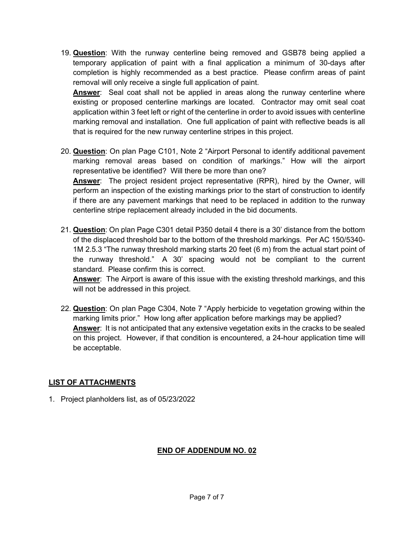19. **Question**: With the runway centerline being removed and GSB78 being applied a temporary application of paint with a final application a minimum of 30-days after completion is highly recommended as a best practice. Please confirm areas of paint removal will only receive a single full application of paint.

**Answer**: Seal coat shall not be applied in areas along the runway centerline where existing or proposed centerline markings are located. Contractor may omit seal coat application within 3 feet left or right of the centerline in order to avoid issues with centerline marking removal and installation. One full application of paint with reflective beads is all that is required for the new runway centerline stripes in this project.

20. **Question**: On plan Page C101, Note 2 "Airport Personal to identify additional pavement marking removal areas based on condition of markings." How will the airport representative be identified? Will there be more than one? **Answer**: The project resident project representative (RPR), hired by the Owner, will

perform an inspection of the existing markings prior to the start of construction to identify if there are any pavement markings that need to be replaced in addition to the runway centerline stripe replacement already included in the bid documents.

21. **Question**: On plan Page C301 detail P350 detail 4 there is a 30' distance from the bottom of the displaced threshold bar to the bottom of the threshold markings. Per AC 150/5340- 1M 2.5.3 "The runway threshold marking starts 20 feet (6 m) from the actual start point of the runway threshold." A 30' spacing would not be compliant to the current standard. Please confirm this is correct.

**Answer**: The Airport is aware of this issue with the existing threshold markings, and this will not be addressed in this project.

22. **Question**: On plan Page C304, Note 7 "Apply herbicide to vegetation growing within the marking limits prior." How long after application before markings may be applied? **Answer**: It is not anticipated that any extensive vegetation exits in the cracks to be sealed on this project. However, if that condition is encountered, a 24-hour application time will be acceptable.

### **LIST OF ATTACHMENTS**

1. Project planholders list, as of 05/23/2022

### **END OF ADDENDUM NO. 02**